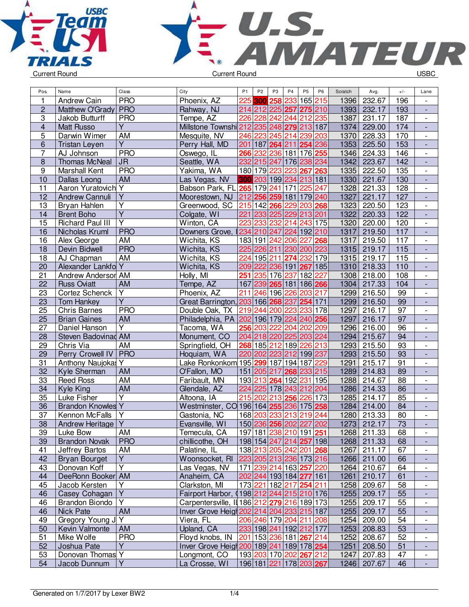



| Pos.                    | Name                                 | Class            | City                                        | P <sub>1</sub> | P <sub>2</sub> | P <sub>3</sub> | P <sub>4</sub>                    | P <sub>5</sub>     | P <sub>6</sub> | Scratch | Avg.        | $+/-$           | Lane                     |
|-------------------------|--------------------------------------|------------------|---------------------------------------------|----------------|----------------|----------------|-----------------------------------|--------------------|----------------|---------|-------------|-----------------|--------------------------|
| 1                       | Andrew Cain                          | <b>PRO</b>       | Phoenix, AZ                                 |                | 225 300 258    |                | 233                               | 165 215            |                | 1396    | 232.67      | 196             |                          |
| $\overline{2}$          | Matthew O'Grady                      | <b>PRO</b>       | Rahway, NJ                                  |                |                |                | 214 212 225 257 275 210           |                    |                | 1393    | 232.17      | 193             | $\blacksquare$           |
| $\overline{3}$          | Jakob Butturff                       | <b>PRO</b>       | Tempe, AZ                                   | 226            | 228            | 242            | 244 212 235                       |                    |                | 1387    | 231.17      | 187             | $\blacksquare$           |
| $\overline{\mathbf{4}}$ | <b>Matt Russo</b>                    | $\overline{Y}$   | Millstone Townshi 212 235 248 279 213 187   |                |                |                |                                   |                    |                | 1374    | 229.00      | 174             | ÷,                       |
| 5                       | Darwin Wimer                         | AM               | Mesquite, NV                                |                |                |                | 246 223 245 214 239 203           |                    |                | 1370    | 228.33      | 170             | $\overline{\phantom{a}}$ |
| 6                       | <b>Tristan Leyen</b>                 | $\overline{Y}$   | Perry Hall, MD                              |                |                |                | 201 187 264 211 254 236           |                    |                | 1353    | 225.50      | 153             | $\overline{\phantom{a}}$ |
| 7                       | AJ Johnson                           | <b>PRO</b>       | Oswego, IL                                  | 266            | 232            |                | 236 181 176 255                   |                    |                | 1346    | 224.33      | 146             |                          |
| $\overline{8}$          | <b>Thomas McNeal</b>                 | <b>JR</b>        | Seattle, WA                                 |                | 232 215 247    |                | 176 238 234                       |                    |                | 1342    | 223.67      | 142             |                          |
| $\overline{9}$          | <b>Marshall Kent</b>                 | <b>PRO</b>       | Yakima, WA                                  |                | 180 179 223    |                | 223                               | 267                | 263            | 1335    | 222.50      | 135             | $\overline{\phantom{a}}$ |
| 10                      | Dallas Leong                         | AM               | Las Vegas, NV                               |                |                |                | 300 203 199 234                   | 213 181            |                | 1330    | 221.67      | 130             | $\blacksquare$           |
| 11                      | Aaron Yuratovich Y                   |                  | Babson Park, FL 265 179 241                 |                |                |                | 171                               | 225                | 247            | 1328    | 221.33      | 128             | $\overline{\phantom{a}}$ |
| $\overline{12}$         | <b>Andrew Cannuli</b>                | $\overline{Y}$   | Moorestown, NJ                              |                |                |                | 212 256 259 181 179 240           |                    |                | 1327    | 221.17      | 127             |                          |
| 13                      | Bryan Hahlen                         | $\overline{Y}$   | Greenwood, SC                               |                |                |                | 215 142 266 229 203 268           |                    |                | 1323    | 220.50      | 123             | $\blacksquare$           |
| 14                      | <b>Brent Boho</b>                    | $\overline{Y}$   | Colgate, WI                                 | 221            |                |                | 233 225 229 213 201               |                    |                | 1322    | 220.33      | 122             | ÷,                       |
| 15                      | Richard Paul III                     | Y                | Winton, CA                                  | 223            | 233            | 232            | 214                               | 243 175            |                | 1320    | 220.00      | 120             | $\overline{\phantom{a}}$ |
| 16                      | Nicholas Kruml                       | <b>PRO</b>       | Downers Grove,                              |                |                |                | 234 210 247 224 192 210           |                    |                | 1317    | 219.50      | 117             | $\overline{\phantom{a}}$ |
| 16                      | Alex George                          | AM               | Wichita, KS                                 |                | 183 191 242    |                | 206                               | 227                | 268            | 1317    | 219.50      | 117             |                          |
| 18                      | Devin Bidwell                        | <b>PRO</b>       | Wichita, KS                                 |                |                |                | 225 226 211 230 200 223           |                    |                | 1315    | 219.17      | 115             |                          |
| 18                      | AJ Chapman                           | AM               | Wichita, KS                                 | 224            | 195 211        |                | 274                               | 232                | 179            | 1315    | 219.17      | 115             | $\overline{\phantom{a}}$ |
| 20                      | Alexander Lankfo Y                   |                  | Wichita, KS                                 |                |                |                | 209 222 236 191 267               |                    | 185            | 1310    | 218.33      | 110             | $\blacksquare$           |
| 21                      | Andrew Andersor AM                   |                  | Holly, MI                                   | 251            |                |                | 235 176 237 182                   |                    | 227            | 1308    | 218.00      | 108             | $\overline{\phantom{a}}$ |
| 22                      | <b>Russ Oviatt</b>                   | AM               | Tempe, AZ                                   |                |                |                | 167 239 265 181 186 266           |                    |                | 1304    | 217.33      | 104             |                          |
| 23                      | Cortez Schenck                       | Y                | Phoenix, AZ                                 | 211            |                |                | 246 196 226                       | 203 217            |                | 1299    | 216.50      | 99              | $\overline{\phantom{a}}$ |
| 23                      | <b>Tom Hankey</b>                    | $\overline{Y}$   | Great Barrington, 203 166 268 237 254 171   |                |                |                |                                   |                    |                | 1299    | 216.50      | 99              | $\overline{\phantom{a}}$ |
| 25                      | <b>Chris Barnes</b>                  | <b>PRO</b>       | Double Oak, TX                              |                |                |                | 219 244 200 223 233 178           |                    |                | 1297    | 216.17      | 97              | $\overline{\phantom{a}}$ |
|                         |                                      |                  |                                             |                |                |                |                                   |                    |                | 1297    |             | 97              |                          |
| 25                      | <b>Brian Gaines</b>                  | <b>AM</b><br>Υ   | Philadelphia, PA 202 196 179 224            |                |                | 222            |                                   | 240 256<br>202 209 |                | 1296    | 216.17      |                 |                          |
| 27<br>28                | Daniel Hanson<br>Steven Badovinad AM |                  | Tacoma, WA                                  |                | 256 203        |                | 204<br>225 203 224                |                    |                | 1294    | 216.00      | 96<br>94        | $\overline{\phantom{a}}$ |
|                         |                                      |                  | Monument, CO                                |                | 204 218 220    |                |                                   |                    |                |         | 215.67      |                 |                          |
| 29                      | Chris Via                            | AM<br><b>PRO</b> | Springfield, OH                             |                | 268 185 212    |                | 189                               | 226                | 213            | 1293    | 215.50      | 93              | $\overline{\phantom{a}}$ |
| 29                      | Perry Crowell IV                     |                  | Hoquiam, WA                                 |                |                |                | 220 202 223 212 199 237           |                    |                | 1293    | 215.50      | 93              | $\blacksquare$           |
| 31                      | Anthony Naujokas Y                   |                  | Lake Ronkonkom 195 299 187 194 187          |                |                |                |                                   |                    | 229            | 1291    | 215.17      | 91              | $\overline{\phantom{a}}$ |
| 32                      | Kyle Sherman                         | AM               | O'Fallon, MO                                |                |                |                | 151 205 217 268 233 215           |                    |                | 1289    | 214.83      | 89              | $\blacksquare$           |
| 33                      | <b>Reed Ross</b>                     | <b>AM</b>        | Faribault, MN                               |                |                |                | 193 213 264 192 231               |                    | 195            | 1288    | 214.67      | 88              | $\blacksquare$           |
| 34                      | Kyle King                            | AM               | Glendale, AZ                                |                |                |                | 224 225 178 243 212               |                    | 204            | 1286    | 214.33      | 86              | $\frac{1}{2}$            |
| 35                      | Luke Fisher                          | Y                | Altoona, IA                                 | 215            | 202            |                | 213 256                           | 226 173            |                | 1285    | 214.17      | 85              | $\overline{\phantom{a}}$ |
| 36                      | <b>Brandon Knowles Y</b>             |                  | Westminster, CO 196 164 255 236 175 258     |                |                |                |                                   |                    |                | 1284    | 214.00      | 84              | $\overline{\phantom{a}}$ |
| 37                      | Kennon McFalls                       |                  | Gastonia, NC                                |                | 168 203        | 233            | 213                               | 219 244            |                | 1280    | 213.33      | 80              |                          |
| 38                      | Andrew Heritage <sup>V</sup>         |                  | Evansville, WI                              |                |                |                | 150 236 256 202 227 202           |                    |                | 1273    | 212.17      | $\overline{73}$ |                          |
| 39                      | Luke Bow                             | <b>AM</b>        | Temecula, CA                                |                |                |                | 197 181 238 210 191 251           |                    |                |         | 1268 211.33 | 68              |                          |
| 39                      | <b>Brandon Novak</b>                 | <b>PRO</b>       | chillicothe, OH                             |                |                |                | 198 154 247 214 257 198           |                    |                | 1268    | 211.33      | 68              |                          |
| 41                      | Jeffrey Bartos                       | AM               | Palatine, IL                                |                |                |                | 138 213 205 242 201 268           |                    |                | 1267    | 211.17      | 67              |                          |
| 42                      | <b>Bryan Bourget</b>                 | Y                | Woonsocket, RI                              |                |                |                | 223 205 213 236 173 216           |                    |                | 1266    | 211.00      | 66              |                          |
| 43                      | Donovan Koff                         | $\overline{Y}$   | Las Vegas, NV                               |                |                |                | 171 239 214 163 257 220           |                    |                | 1264    | 210.67      | 64              | $\overline{\phantom{a}}$ |
| 44                      | DeeRonn Booker AM                    |                  | Anaheim, CA                                 |                |                |                | 202 244 193 184 277 161           |                    |                | 1261    | 210.17      | 61              | $\overline{\phantom{a}}$ |
| 45                      | Jacob Kersten                        | Y                | Clarkston, MI                               |                |                |                | 173 221 182 217 254 211           |                    |                | 1258    | 209.67      | 58              | $\overline{\phantom{a}}$ |
| 46                      | Casey Cohagan                        | Υ                | Fairport Harbor, (198 212 244 215 210 176   |                |                |                |                                   |                    |                | 1255    | 209.17      | 55              | ٠                        |
| 46                      | Brandon Biondo                       | Υ                | Carpentersville, II 186 212 279 216 189 173 |                |                |                |                                   |                    |                | 1255    | 209.17      | 55              | $\overline{\phantom{a}}$ |
| 46                      | Nick Pate                            | AM               | Inver Grove Heigt 202 214 204 233 215 187   |                |                |                |                                   |                    |                | 1255    | 209.17      | 55              |                          |
| 49                      | Gregory Young J Y                    |                  | Viera, FL                                   |                |                |                | 206 246 179 204 211 208           |                    |                | 1254    | 209.00      | 54              | $\overline{\phantom{a}}$ |
| 50                      | Kevin Valmonte                       | <b>AM</b>        | Upland, CA                                  |                |                |                | 233 198 241 192 212 177           |                    |                | 1253    | 208.83      | 53              | $\overline{\phantom{a}}$ |
| 51                      | Mike Wolfe                           | <b>PRO</b>       | Floyd knobs, IN                             | 201            |                |                | 153 236 181 267 214               |                    |                | 1252    | 208.67      | 52              |                          |
| 52                      | Joshua Pate                          | $\overline{Y}$   | Inver Grove Heigt 200 189 241 189 178 254   |                |                |                |                                   |                    |                | 1251    | 208.50      | 51              |                          |
| 53                      | Donovan Thomas Y                     |                  | Longmont, CO                                |                |                |                | 193 203 170 202 267 212           |                    |                | 1247    | 207.83      | 47              | $\overline{\phantom{a}}$ |
| 54                      | Jacob Dunnum                         | Y                | La Crosse, WI                               |                |                |                | 196   181   221   178   203   267 |                    |                | 1246    | 207.67      | 46              | $\blacksquare$           |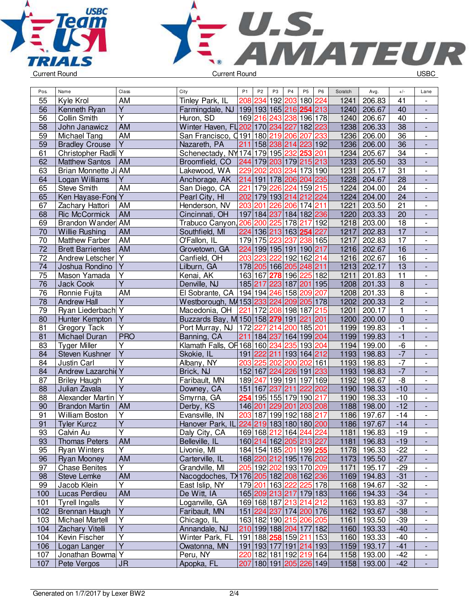



| Pos.            | Name                    | Class                   | City                                      | P <sub>1</sub> | P <sub>2</sub>  | P <sub>3</sub> | P <sub>4</sub>                    | P <sub>5</sub> | P <sub>6</sub> | Scratch | Avg.          | $+/-$                 | Lane                         |
|-----------------|-------------------------|-------------------------|-------------------------------------------|----------------|-----------------|----------------|-----------------------------------|----------------|----------------|---------|---------------|-----------------------|------------------------------|
| 55              | Kyle Krol               | AM                      | Tinley Park, IL                           |                |                 |                | 208 234 192 203 180               |                | 224            | 1241    | 206.83        | 41                    |                              |
| 56              | Kenneth Ryan            | $\overline{Y}$          | Farmingdale, NJ 199193165216254213        |                |                 |                |                                   |                |                | 1240    | 206.67        | 40                    | $\frac{1}{2}$                |
| 56              | Collin Smith            | $\overline{\mathsf{Y}}$ | Huron, SD                                 |                |                 |                | 169 216 243 238 196 178           |                |                | 1240    | 206.67        | 40                    | $\overline{\phantom{a}}$     |
| 58              | John Janawicz           | AM                      | Winter Haven, FL 202 170 234 227 182 223  |                |                 |                |                                   |                |                | 1238    | 206.33        | 38                    | $\blacksquare$               |
| 59              | Michael Tang            | AM                      | San Francisco, 0191 180 219 206 207       |                |                 |                |                                   |                | 233            | 1236    | 206.00        | 36                    | $\frac{1}{2}$                |
| 59              | <b>Bradley Crouse</b>   | $\overline{Y}$          | Nazareth, PA                              |                |                 |                | 211 158 238 214 223 192           |                |                | 1236    | 206.00        | 36                    | $\blacksquare$               |
| 61              | Christopher Radli Y     |                         | Schenectady, NY 174 179 195 232 253       |                |                 |                |                                   |                | 201            | 1234    | 205.67        | 34                    | $\overline{\phantom{a}}$     |
| 62              | <b>Matthew Santos</b>   | <b>AM</b>               | Broomfield, CO                            |                |                 |                | 244 179 203 179 215 213           |                |                | 1233    | 205.50        | 33                    | $\overline{\phantom{a}}$     |
| 63              | Brian Monnette J        | AM                      | Lakewood, WA                              |                |                 |                | 229 202 203 234                   | 173 190        |                | 1231    | 205.17        | 31                    | $\qquad \qquad \blacksquare$ |
| 64              | Logan Williams          | Υ                       | Anchorage, AK                             |                |                 |                | 214 191 178 206 204 235           |                |                | 1228    | 204.67        | 28                    |                              |
| 65              | <b>Steve Smith</b>      | <b>AM</b>               | San Diego, CA                             | 221            |                 |                | 179 226 224 159 215               |                |                | 1224    | 204.00        | 24                    | $\overline{\phantom{a}}$     |
| 65              | Ken Hayase-Fond         | $\overline{Y}$          | Pearl City, HI                            |                |                 |                | 202 179 193 214 212 224           |                |                | 1224    | 204.00        | $\overline{24}$       | $\frac{1}{2}$                |
| 67              | Zachary Hattori         | <b>AM</b>               | Henderson, NV                             | 203 201        |                 |                | 226 206 174 211                   |                |                | 1221    | 203.50        | $\overline{21}$       | $\overline{\phantom{a}}$     |
| 68              | <b>Ric McCormick</b>    | <b>AM</b>               | Cincinnati, OH                            |                |                 |                | 197 184 237 184 182 236           |                |                | 1220    | 203.33        | 20                    |                              |
| 69              | Brandon Wander AM       |                         | Trabuco Canyon, 206 200 225 178 217 192   |                |                 |                |                                   |                |                | 1218    | 203.00        | 18                    | $\overline{\phantom{a}}$     |
| 70              | <b>Willie Rushing</b>   | <b>AM</b>               | Southfield, MI                            |                |                 |                | 224 136 213 163 254 227           |                |                | 1217    | 202.83        | 17                    |                              |
| 70              | <b>Matthew Farber</b>   | <b>AM</b>               | O'Fallon, IL                              |                | 179 175 223 237 |                |                                   | 238 165        |                | 1217    | 202.83        | $\overline{17}$       | $\overline{\phantom{a}}$     |
| $\overline{72}$ | <b>Brett Barrientes</b> | <b>AM</b>               | Grovetown, GA                             |                | 224 199 195 191 |                |                                   | 190 217        |                | 1216    | 202.67        | 16                    | $\blacksquare$               |
| 72              | Andrew Letscher         | Y                       | Canfield, OH                              | 203            | 223             |                | 222 192 162 214                   |                |                | 1216    | 202.67        | 16                    | $\overline{\phantom{a}}$     |
| 74              | Joshua Rondino          | $\overline{Y}$          | Lilburn, GA                               |                |                 |                | 178 205 166 205 248 211           |                |                | 1213    | 202.17        | $\overline{13}$       | $\overline{\phantom{a}}$     |
| 75              | Mason Yamada            | Ÿ                       | Kenai, AK                                 |                |                 |                | 163 167 278 196 225 182           |                |                | 1211    | 201.83        | 11                    | $\overline{\phantom{a}}$     |
| $\overline{76}$ | Jack Cook               | $\overline{Y}$          | Denville, NJ                              |                |                 |                | 185 217 223 187 201 195           |                |                | 1208    | 201.33        | $\overline{8}$        | $\overline{\phantom{a}}$     |
| 76              | Ronnie Fujita           | <b>AM</b>               | El Sobrante, CA                           |                |                 |                | 194 194 246 158 209 207           |                |                | 1208    | 201.33        | $\overline{8}$        | $\overline{\phantom{a}}$     |
| 78              | <b>Andrew Hall</b>      | $\overline{Y}$          | Westborough, M/153 233 224 209 205 178    |                |                 |                |                                   |                |                | 1202    | 200.33        | $\overline{2}$        |                              |
| 79              | Ryan Liederbach Y       |                         | Macedonia, OH                             |                |                 |                | 221 172 208 198 187 215           |                |                | 1201    | 200.17        | $\mathbf{1}$          | $\overline{\phantom{a}}$     |
| 80              | Hunter Kempton          | $\overline{Y}$          | Buzzards Bay, M 150 158 279 191           |                |                 |                |                                   | 221 201        |                | 1200    | 200.00        | $\pmb{0}$             |                              |
| 81              | Gregory Tack            | $\overline{\mathsf{Y}}$ | Port Murray, NJ   172 227 214 200 185 201 |                |                 |                |                                   |                |                | 1199    | 199.83        | $-1$                  | $\overline{\phantom{a}}$     |
| 81              | Michael Duran           | <b>PRO</b>              | Banning, CA                               |                |                 |                | 211 184 237 164 199 204           |                |                | 1199    | 199.83        | $-1$                  | $\overline{\phantom{a}}$     |
| 83              | <b>Tyger Miller</b>     | Υ                       | Klamath Falls, OH 168 160 234 235 193 204 |                |                 |                |                                   |                |                | 1194    | 199.00        | -6                    | $\overline{\phantom{a}}$     |
| 84              | Steven Kushner          | $\overline{\mathsf{Y}}$ | Skokie, IL                                |                |                 |                | 191 222 211 193 164 212           |                |                | 1193    | 198.83        | $-7$                  |                              |
| 84              | Justin Carl             | $\overline{Y}$          | Albany, NY                                | 203 225        |                 |                | 202 200                           | 202 161        |                | 1193    | 198.83        | $-7$                  | $\overline{\phantom{a}}$     |
| 84              | Andrew Lazarchid Y      |                         | Brick, NJ                                 |                |                 |                | 152 167 224 226 191 233           |                |                | 1193    | 198.83        | $-7$                  | $\overline{\phantom{a}}$     |
| 87              | <b>Briley Haugh</b>     | Υ                       | Faribault, MN                             | 189 247        |                 |                | 199 191                           | 197 169        |                | 1192    | 198.67        | $-\frac{1}{\sqrt{2}}$ | $\overline{\phantom{a}}$     |
| 88              | Julian Zavala           | $\overline{Y}$          | Downey, CA                                | 151 167        |                 | 237 211        |                                   | 222 202        |                | 1190    | 198.33        | $-10$                 | ÷,                           |
| 88              | Alexander Martin        | $\overline{Y}$          | Smyrna, GA                                |                |                 |                | 254 195 155 179 190 217           |                |                | 1190    | 198.33        | $-10$                 | $\overline{\phantom{a}}$     |
| 90              | <b>Brandon Martin</b>   | <b>AM</b>               | Derby, KS                                 | 146 201        |                 | 229 201        |                                   | 203 208        |                | 1188    | 198.00        | $-12$                 | $\frac{1}{2}$                |
| 91              | William Boston          | $\overline{Y}$          | Evansville, IN                            | 203 187        |                 |                | 199 192                           | 188 217        |                | 1186    | 197.67        | $-14$                 | $\overline{\phantom{a}}$     |
| 91              | <b>Tyler Kurcz</b>      | $\overline{\mathsf{Y}}$ | Hanover Park, IL 224 219 183 180 180 200  |                |                 |                |                                   |                |                | 1186    | 197.67        | $-14$                 |                              |
| 93              | Calvin Au               | Y                       | Daly City, CA                             |                |                 |                | 169 168 212 164 244 224           |                |                |         | 1181   196.83 | $-19$                 | $\overline{\phantom{a}}$     |
| 93              | <b>Thomas Peters</b>    | AM                      | Belleville, IL                            |                |                 |                | 160 214 162 205 213 227           |                |                | 1181    | 196.83        | $-19$                 | $\overline{\phantom{a}}$     |
| 95              | <b>Ryan Winters</b>     | Y                       | Livonie, MI                               |                |                 |                | 184 154 185 201 199 255           |                |                |         | 1178 196.33   | $-22$                 |                              |
| 96              | Ryan Mooney             | AM                      | Carterville, IL                           |                |                 |                | 168 220 212 195 176 202           |                |                |         | 1173 195.50   | $-27$                 |                              |
| 97              | <b>Chase Benites</b>    | Y                       | Grandville, MI                            |                |                 |                | 205 192 202 193 170 209           |                |                | 1171    | 195.17        | $-29$                 |                              |
| 98              | <b>Steve Lemke</b>      | AM                      | Nacogdoches, TX 176 205 182 208 162 236   |                |                 |                |                                   |                |                | 1169    | 194.83        | $-31$                 |                              |
| 99              | Jacob Klein             | $\overline{Y}$          | East Islip, NY                            |                |                 |                | 179 201 163 222 225 178           |                |                | 1168    | 194.67        | $-32$                 | $\blacksquare$               |
| 100             | Lucas Perdieu           | <b>AM</b>               | De Witt, IA                               |                |                 |                | 165 209 213 217 179 183           |                |                |         | 1166 194.33   | $-34$                 | $\frac{1}{2}$                |
| 101             | <b>Tyrell Ingalls</b>   | $\overline{Y}$          | Loganville, GA                            |                |                 |                | 169 168 187 213 214 212           |                |                |         | 1163 193.83   | $-37$                 | $\overline{\phantom{a}}$     |
| 102             | Brennan Haugh           | $\overline{Y}$          | Faribault, MN                             |                |                 |                | 151 224 237 174 200 176           |                |                |         | 1162 193.67   | $-38$                 | $\overline{\phantom{a}}$     |
| 103             | Michael Martell         | Υ                       | Chicago, IL                               |                |                 |                | 163 182 190 215 206 205           |                |                | 1161    | 193.50        | $-39$                 | $\overline{\phantom{a}}$     |
| 104             | Zachary Vitelli         | $\overline{Y}$          | Annandale, NJ                             |                |                 |                | 210 199 188 204 177 182           |                |                |         | 1160 193.33   | $-40$                 | $\overline{\phantom{a}}$     |
| 104             | Kevin Fischer           | $\overline{Y}$          | Winter Park, FL                           |                |                 |                | 191 188 258 159 211 153           |                |                |         | 1160 193.33   | $-40$                 | $\overline{\phantom{a}}$     |
| 106             | Logan Langer            | $\overline{Y}$          | Owatonna, MN                              |                |                 |                | 191   193   177   191   214   193 |                |                |         | 1159 193.17   | $-41$                 |                              |
| 107             | Jonathan Bowma          | $\overline{Y}$          | Peru, NY                                  |                |                 |                | 220 182 181 192 219 164           |                |                | 1158    | 193.00        | $-42$                 | $\overline{\phantom{a}}$     |
| 107             | Pete Vergos             | <b>JR</b>               | Apopka, FL                                |                |                 |                | 207 180 191 205 226 149           |                |                |         | 1158 193.00   | $-42$                 |                              |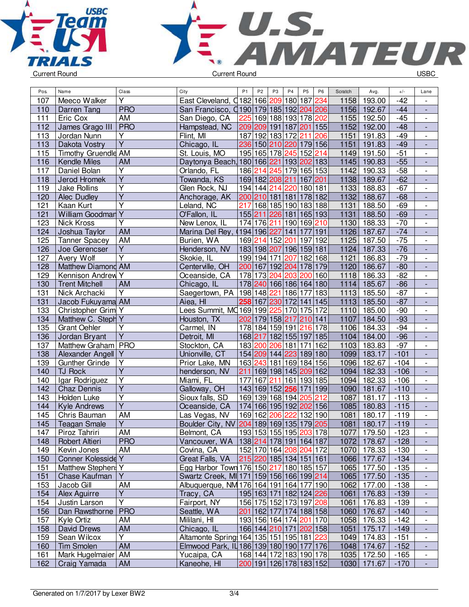



| Pos. | Name                  | Class                   | City                                       | P <sub>1</sub> | P <sub>2</sub>                              | P <sub>3</sub> | P4              | P <sub>5</sub> | P <sub>6</sub> | Scratch | Avg.          | $+/-$  | Lane                     |
|------|-----------------------|-------------------------|--------------------------------------------|----------------|---------------------------------------------|----------------|-----------------|----------------|----------------|---------|---------------|--------|--------------------------|
| 107  | Meeco Walker          | $\overline{\mathsf{Y}}$ | East Cleveland, C182 166 209 180 187       |                |                                             |                |                 |                | 234            | 1158    | 193.00        | $-42$  |                          |
| 110  | Darren Tang           | <b>PRO</b>              | San Francisco, 0190 179 185 192 204 206    |                |                                             |                |                 |                |                | 1156    | 192.67        | $-44$  | $\overline{\phantom{a}}$ |
| 111  | Eric Cox              | <b>AM</b>               | San Diego, CA                              |                | 225 169 188 193 178 202                     |                |                 |                |                | 1155    | 192.50        | $-45$  | $\overline{\phantom{a}}$ |
| 112  | James Grago III       | <b>PRO</b>              | Hampstead, NC                              |                | 209 209 191 187 201 155                     |                |                 |                |                | 1152    | 192.00        | $-48$  |                          |
| 113  | Jordan Nunn           | Y                       | Flint, MI                                  |                | 187 192 183 172 211                         |                |                 |                | 206            | 1151    | 191.83        | $-49$  | $\overline{\phantom{a}}$ |
| 113  | Dakota Vostry         | $\overline{Y}$          | Chicago, IL                                |                | 236 150 210 220 179 156                     |                |                 |                |                | 1151    | 191.83        | $-49$  | $\frac{1}{2}$            |
| 115  | Timothy Gruendle AM   |                         | St. Louis, MO                              |                | 195 165 178 245 152 214                     |                |                 |                |                | 1149    | 191.50        | $-51$  | $\overline{\phantom{a}}$ |
| 116  | <b>Kendle Miles</b>   | <b>AM</b>               | Daytonya Beach, 180 166 221 193 202 183    |                |                                             |                |                 |                |                | 1145    | 190.83        | $-55$  |                          |
| 117  | Daniel Bolan          | Y                       | Orlando, FL                                |                | 186 214                                     |                | 245 179 165 153 |                |                | 1142    | 190.33        | $-58$  |                          |
| 118  | Jerod Hromek          | $\overline{Y}$          | Towanda, KS                                |                | 169 182 208 211                             |                |                 | 167 201        |                | 1138    | 189.67        | $-62$  |                          |
| 119  | <b>Jake Rollins</b>   | Υ                       | Glen Rock, NJ                              |                | 194 144 214 220 180 181                     |                |                 |                |                | 1133    | 188.83        | $-67$  | $\overline{\phantom{a}}$ |
| 120  | Alec Dudley           | $\overline{\mathsf{Y}}$ | Anchorage, AK                              |                | 200 210 181 181                             |                |                 | 178 182        |                | 1132    | 188.67        | $-68$  | ÷,                       |
| 121  | Kaan Kurt             | $\overline{\mathsf{Y}}$ | Leland, NC                                 |                | 217 168 185 190 183 188                     |                |                 |                |                | 1131    | 188.50        | $-69$  | $\overline{\phantom{a}}$ |
| 121  | William Goodman       | $\overline{Y}$          | O'Fallon, IL                               |                | 155 211 226 181 165 193                     |                |                 |                |                | 1131    | 188.50        | $-69$  | $\Box$                   |
| 123  | Nick Kross            | Y                       | New Lenox, IL                              |                | 174 176 211 190 169 210                     |                |                 |                |                | 1130    | 188.33        | $-70$  | $\overline{\phantom{a}}$ |
| 124  | Joshua Taylor         | <b>AM</b>               | Marina Del Rey, (194 196 227 141 177 191   |                |                                             |                |                 |                |                | 1126    | 187.67        | $-74$  |                          |
| 125  | <b>Tanner Spacey</b>  | AM                      | Burien, WA                                 |                | 169 214 152 201                             |                |                 | 197 192        |                | 1125    | 187.50        | $-75$  | $\overline{\phantom{a}}$ |
| 126  | Joe Gerencser         | Y                       | Henderson, NV                              |                | 183 198 207 196 159 181                     |                |                 |                |                | 1124    | 187.33        | $-76$  |                          |
| 127  | Avery Wolf            | $\overline{\mathsf{Y}}$ | Skokie, IL                                 |                | 199 194 171 207                             |                |                 | 182 168        |                | 1121    | 186.83        | $-79$  |                          |
| 128  | Matthew Diamond AM    |                         | Centerville, OH                            |                | 200 167 192 204 178 179                     |                |                 |                |                | 1120    | 186.67        | $-80$  |                          |
| 129  | Kennison Andrew Y     |                         | Oceanside, CA                              |                | 178 173                                     |                | 204 203         | 200 160        |                | 1118    | 186.33        | $-82$  | $\overline{\phantom{a}}$ |
| 130  | <b>Trent Mitchell</b> | AM                      | Chicago, IL                                |                | 178 240                                     |                | 166 186 164 180 |                |                | 1114    | 185.67        | $-86$  | $\blacksquare$           |
| 131  | Nick Archacki         | Ÿ                       | Saegertown, PA   198   148 221   186   177 |                |                                             |                |                 |                | 183            | 1113    | 185.50        | $-87$  | $\overline{\phantom{a}}$ |
| 131  | Jacob Fukuyama AM     |                         | Aiea, HI                                   |                | 258 167 230 172 141 145                     |                |                 |                |                | $1113$  | 185.50        | $-87$  |                          |
| 133  | Christopher Grim Y    |                         | Lees Summit, MQ169 199 225 170 175 172     |                |                                             |                |                 |                |                | 1110    | 185.00        | $-90$  | $\overline{\phantom{a}}$ |
| 134  | Matthew C. Steph Y    |                         | Houston, TX                                |                | 202 179 158 217 210 141                     |                |                 |                |                | 1107    | 184.50        | $-93$  | $\frac{1}{2}$            |
| 135  | <b>Grant Oehler</b>   | Υ                       | Carmel, IN                                 |                | 178 184 159 191 216 178                     |                |                 |                |                | 1106    | 184.33        | $-94$  | $\overline{\phantom{a}}$ |
| 136  | Jordan Bryant         | Y                       | Detroit, MI                                |                | 168 217                                     |                | 182 155 197 185 |                |                | 1104    | 184.00        | $-96$  |                          |
| 137  | Matthew Graham   PRO  |                         | Stockton, CA                               | 183 200        |                                             |                | 206 181         | 171 162        |                | 1103    | 183.83        | $-97$  |                          |
| 138  | Alexander Angell      | Y                       | Unionville, CT                             |                | 154 209 144 223 189 180                     |                |                 |                |                | 1099    | 183.17        | $-101$ |                          |
| 139  | Gunther Grinde        | Υ                       | Prior Lake, MN                             |                | 163 243 181 169 184 156                     |                |                 |                |                | 1096    | 182.67        | $-104$ | $\overline{\phantom{a}}$ |
| 140  | <b>TJ Rock</b>        | $\overline{\mathsf{Y}}$ | henderson, NV                              |                | 211 169 198 145 209 162                     |                |                 |                |                | 1094    | 182.33        | $-106$ | $\blacksquare$           |
| 140  | Igar Rodriguez        | Υ                       | Miami, FL                                  | 177 167        |                                             |                | 211 161 193 185 |                |                | 1094    | 182.33        | $-106$ | $\overline{\phantom{a}}$ |
| 142  | <b>Chaz Dennis</b>    | $\overline{\mathsf{Y}}$ | Galloway, OH                               |                | 143 169 152 256 171 199                     |                |                 |                |                | 1090    | 181.67        | $-110$ |                          |
| 143  | Holden Luke           | $\overline{\mathsf{Y}}$ | Sioux falls, SD                            |                | 169 139 168 194 205 212                     |                |                 |                |                | 1087    | 181.17        | $-113$ | $\overline{\phantom{a}}$ |
| 144  | <b>Kyle Andrews</b>   | $\overline{\mathsf{Y}}$ | Oceanside, CA                              |                | 174 166 195 192 202 156                     |                |                 |                |                | 1085    | 180.83        | $-115$ | $\blacksquare$           |
| 145  | Chris Bauman          | AM                      | Las Vegas, NV                              |                | 169 162                                     |                | 206 222 132 190 |                |                | 1081    | 180.17        | $-119$ | $\overline{\phantom{a}}$ |
| 145  | <b>Teagan Smale</b>   | Υ                       | Boulder City, NV 204 189 169 135 179 205   |                |                                             |                |                 |                |                | 1081    | 180.17        | $-119$ | $\frac{1}{2}$            |
| 147  | Piroz Tahriri         | AM                      | Belmont, CA                                |                | 193  153  155  195   <mark>203</mark>   178 |                |                 |                |                |         | 1077   179.50 | -123   |                          |
| 148  | Robert Altieri        | <b>PRO</b>              | Vancouver, WA                              |                | 138 214 178 191 164 187                     |                |                 |                |                | 1072    | 178.67        | $-128$ |                          |
| 149  | Kevin Jones           | AM                      | Covina, CA                                 |                | 152 170 164 208 204 172                     |                |                 |                |                |         | 1070 178.33   | $-130$ |                          |
| 150  | Conner Kolesside Y    |                         | Great Falls, VA                            |                | 215 220 185 134 151 161                     |                |                 |                |                | 1066    | 177.67        | $-134$ |                          |
| 151  | Matthew Stephen: Y    |                         | Egg Harbor Town 176 150 217 180 185 157    |                |                                             |                |                 |                |                | 1065    | 177.50        | $-135$ |                          |
| 151  | Chase Kaufman         | Y                       | Swartz Creek, MI 171 159 156 166 199 214   |                |                                             |                |                 |                |                | 1065    | 177.50        | $-135$ |                          |
| 153  | Jacob Gill            | AM                      | Albuquerque, NM 176 164 191 164 177 190    |                |                                             |                |                 |                |                | 1062    | 177.00        | $-138$ | $\overline{\phantom{a}}$ |
| 154  | Alex Aguirre          | Y                       | Tracy, CA                                  |                | 195 163 171 182 124 226                     |                |                 |                |                | 1061    | 176.83        | $-139$ | $\blacksquare$           |
| 154  | Justin Larson         | Y                       | Fairport, NY                               |                | 156 175 152 173 197 208                     |                |                 |                |                | 1061    | 176.83        | $-139$ | $\overline{\phantom{a}}$ |
| 156  | Dan Rawsthorne        | <b>PRO</b>              | Seattle, WA                                |                | 201   162   177   174   188   158           |                |                 |                |                | 1060    | 176.67        | $-140$ | $\overline{\phantom{a}}$ |
| 157  | Kyle Ortiz            | AM                      | Mililani, HI                               |                | 193 156 164 174 201 170                     |                |                 |                |                | 1058    | 176.33        | $-142$ |                          |
| 158  | <b>David Drews</b>    | AM                      | Chicago, IL                                |                | 166 144 210 171 202 158                     |                |                 |                |                | 1051    | 175.17        | $-149$ |                          |
| 159  | Sean Wilcox           | Y                       | Altamonte Spring 164 135 151 195 181 223   |                |                                             |                |                 |                |                | 1049    | 174.83        | $-151$ | $\overline{\phantom{a}}$ |
| 160  | <b>Tim Smolen</b>     | AM                      | Elmwood Park, IL 186 139 180 190 177 176   |                |                                             |                |                 |                |                | 1048    | 174.67        | $-152$ | $\overline{\phantom{a}}$ |
| 161  | Mark Hugelmaier   AM  |                         | Yucaipa, CA                                |                | 168 144 172 183 190 178                     |                |                 |                |                | 1035    | 172.50        | $-165$ | $\overline{\phantom{a}}$ |
| 162  | Craig Yamada          | AM                      | Kaneohe, HI                                |                | 200 191 126 178 183 152                     |                |                 |                |                | 1030    | 171.67        | $-170$ | $\blacksquare$           |